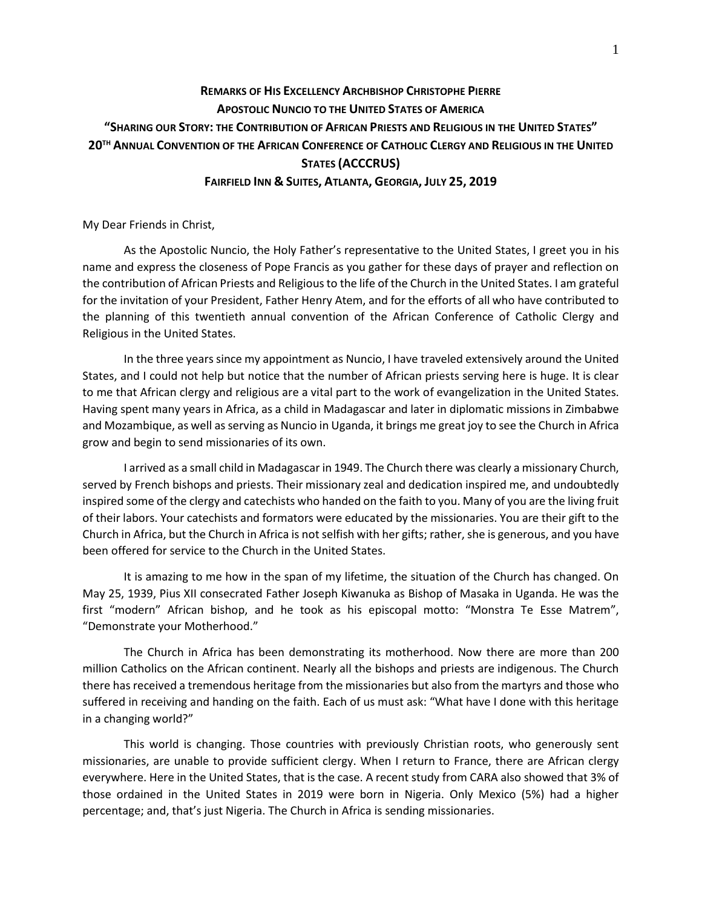## **REMARKS OF HIS EXCELLENCY ARCHBISHOP CHRISTOPHE PIERRE APOSTOLIC NUNCIO TO THE UNITED STATES OF AMERICA "SHARING OUR STORY: THE CONTRIBUTION OF AFRICAN PRIESTS AND RELIGIOUS IN THE UNITED STATES" 20TH ANNUAL CONVENTION OF THE AFRICAN CONFERENCE OF CATHOLIC CLERGY AND RELIGIOUS IN THE UNITED STATES (ACCCRUS) FAIRFIELD INN & SUITES, ATLANTA, GEORGIA, JULY 25, 2019**

My Dear Friends in Christ,

As the Apostolic Nuncio, the Holy Father's representative to the United States, I greet you in his name and express the closeness of Pope Francis as you gather for these days of prayer and reflection on the contribution of African Priests and Religious to the life of the Church in the United States. I am grateful for the invitation of your President, Father Henry Atem, and for the efforts of all who have contributed to the planning of this twentieth annual convention of the African Conference of Catholic Clergy and Religious in the United States.

In the three years since my appointment as Nuncio, I have traveled extensively around the United States, and I could not help but notice that the number of African priests serving here is huge. It is clear to me that African clergy and religious are a vital part to the work of evangelization in the United States. Having spent many years in Africa, as a child in Madagascar and later in diplomatic missions in Zimbabwe and Mozambique, as well as serving as Nuncio in Uganda, it brings me great joy to see the Church in Africa grow and begin to send missionaries of its own.

I arrived as a small child in Madagascar in 1949. The Church there was clearly a missionary Church, served by French bishops and priests. Their missionary zeal and dedication inspired me, and undoubtedly inspired some of the clergy and catechists who handed on the faith to you. Many of you are the living fruit of their labors. Your catechists and formators were educated by the missionaries. You are their gift to the Church in Africa, but the Church in Africa is not selfish with her gifts; rather, she is generous, and you have been offered for service to the Church in the United States.

It is amazing to me how in the span of my lifetime, the situation of the Church has changed. On May 25, 1939, Pius XII consecrated Father Joseph Kiwanuka as Bishop of Masaka in Uganda. He was the first "modern" African bishop, and he took as his episcopal motto: "Monstra Te Esse Matrem", "Demonstrate your Motherhood."

The Church in Africa has been demonstrating its motherhood. Now there are more than 200 million Catholics on the African continent. Nearly all the bishops and priests are indigenous. The Church there has received a tremendous heritage from the missionaries but also from the martyrs and those who suffered in receiving and handing on the faith. Each of us must ask: "What have I done with this heritage in a changing world?"

This world is changing. Those countries with previously Christian roots, who generously sent missionaries, are unable to provide sufficient clergy. When I return to France, there are African clergy everywhere. Here in the United States, that is the case. A recent study from CARA also showed that 3% of those ordained in the United States in 2019 were born in Nigeria. Only Mexico (5%) had a higher percentage; and, that's just Nigeria. The Church in Africa is sending missionaries.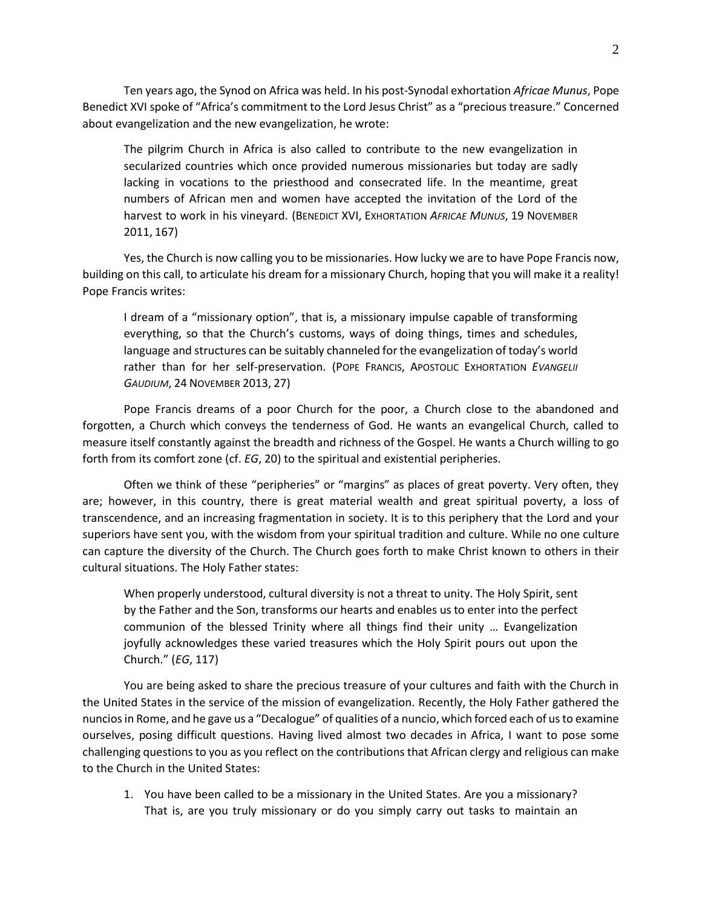Ten years ago, the Synod on Africa was held. In his post-Synodal exhortation *Africae Munus*, Pope Benedict XVI spoke of "Africa's commitment to the Lord Jesus Christ" as a "precious treasure." Concerned about evangelization and the new evangelization, he wrote:

The pilgrim Church in Africa is also called to contribute to the new evangelization in secularized countries which once provided numerous missionaries but today are sadly lacking in vocations to the priesthood and consecrated life. In the meantime, great numbers of African men and women have accepted the invitation of the Lord of the harvest to work in his vineyard. (BENEDICT XVI, EXHORTATION *AFRICAE MUNUS*, 19 NOVEMBER 2011, 167)

Yes, the Church is now calling you to be missionaries. How lucky we are to have Pope Francis now, building on this call, to articulate his dream for a missionary Church, hoping that you will make it a reality! Pope Francis writes:

I dream of a "missionary option", that is, a missionary impulse capable of transforming everything, so that the Church's customs, ways of doing things, times and schedules, language and structures can be suitably channeled for the evangelization of today's world rather than for her self-preservation. (POPE FRANCIS, APOSTOLIC EXHORTATION *EVANGELII GAUDIUM*, 24 NOVEMBER 2013, 27)

Pope Francis dreams of a poor Church for the poor, a Church close to the abandoned and forgotten, a Church which conveys the tenderness of God. He wants an evangelical Church, called to measure itself constantly against the breadth and richness of the Gospel. He wants a Church willing to go forth from its comfort zone (cf. *EG*, 20) to the spiritual and existential peripheries.

Often we think of these "peripheries" or "margins" as places of great poverty. Very often, they are; however, in this country, there is great material wealth and great spiritual poverty, a loss of transcendence, and an increasing fragmentation in society. It is to this periphery that the Lord and your superiors have sent you, with the wisdom from your spiritual tradition and culture. While no one culture can capture the diversity of the Church. The Church goes forth to make Christ known to others in their cultural situations. The Holy Father states:

When properly understood, cultural diversity is not a threat to unity. The Holy Spirit, sent by the Father and the Son, transforms our hearts and enables us to enter into the perfect communion of the blessed Trinity where all things find their unity … Evangelization joyfully acknowledges these varied treasures which the Holy Spirit pours out upon the Church." (*EG*, 117)

You are being asked to share the precious treasure of your cultures and faith with the Church in the United States in the service of the mission of evangelization. Recently, the Holy Father gathered the nuncios in Rome, and he gave us a "Decalogue" of qualities of a nuncio, which forced each of us to examine ourselves, posing difficult questions. Having lived almost two decades in Africa, I want to pose some challenging questions to you as you reflect on the contributions that African clergy and religious can make to the Church in the United States:

1. You have been called to be a missionary in the United States. Are you a missionary? That is, are you truly missionary or do you simply carry out tasks to maintain an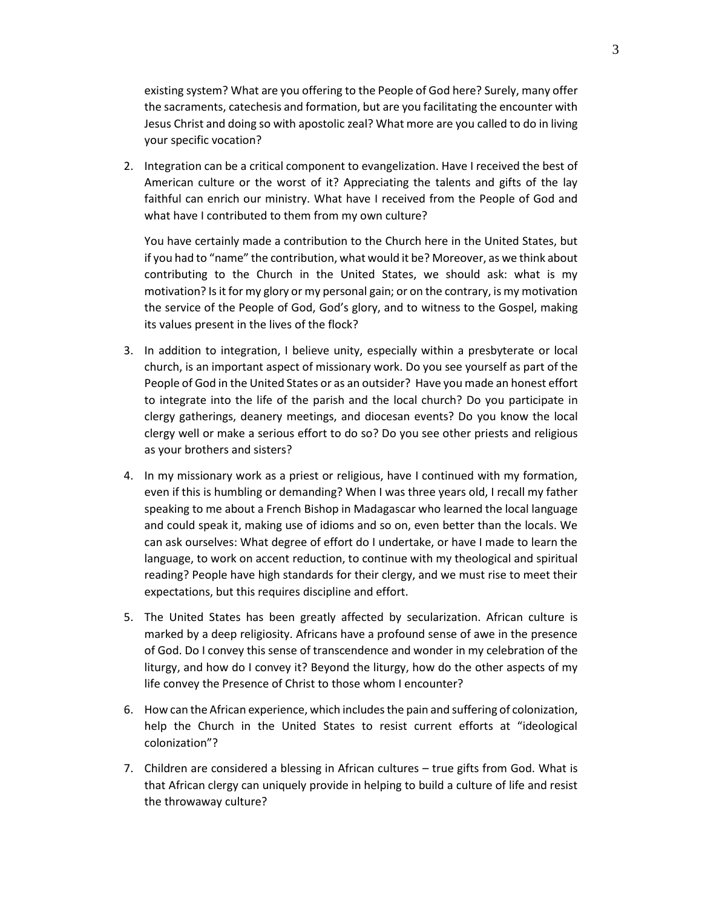existing system? What are you offering to the People of God here? Surely, many offer the sacraments, catechesis and formation, but are you facilitating the encounter with Jesus Christ and doing so with apostolic zeal? What more are you called to do in living your specific vocation?

2. Integration can be a critical component to evangelization. Have I received the best of American culture or the worst of it? Appreciating the talents and gifts of the lay faithful can enrich our ministry. What have I received from the People of God and what have I contributed to them from my own culture?

You have certainly made a contribution to the Church here in the United States, but if you had to "name" the contribution, what would it be? Moreover, as we think about contributing to the Church in the United States, we should ask: what is my motivation? Is it for my glory or my personal gain; or on the contrary, is my motivation the service of the People of God, God's glory, and to witness to the Gospel, making its values present in the lives of the flock?

- 3. In addition to integration, I believe unity, especially within a presbyterate or local church, is an important aspect of missionary work. Do you see yourself as part of the People of God in the United States or as an outsider? Have you made an honest effort to integrate into the life of the parish and the local church? Do you participate in clergy gatherings, deanery meetings, and diocesan events? Do you know the local clergy well or make a serious effort to do so? Do you see other priests and religious as your brothers and sisters?
- 4. In my missionary work as a priest or religious, have I continued with my formation, even if this is humbling or demanding? When I was three years old, I recall my father speaking to me about a French Bishop in Madagascar who learned the local language and could speak it, making use of idioms and so on, even better than the locals. We can ask ourselves: What degree of effort do I undertake, or have I made to learn the language, to work on accent reduction, to continue with my theological and spiritual reading? People have high standards for their clergy, and we must rise to meet their expectations, but this requires discipline and effort.
- 5. The United States has been greatly affected by secularization. African culture is marked by a deep religiosity. Africans have a profound sense of awe in the presence of God. Do I convey this sense of transcendence and wonder in my celebration of the liturgy, and how do I convey it? Beyond the liturgy, how do the other aspects of my life convey the Presence of Christ to those whom I encounter?
- 6. How can the African experience, which includes the pain and suffering of colonization, help the Church in the United States to resist current efforts at "ideological colonization"?
- 7. Children are considered a blessing in African cultures true gifts from God. What is that African clergy can uniquely provide in helping to build a culture of life and resist the throwaway culture?